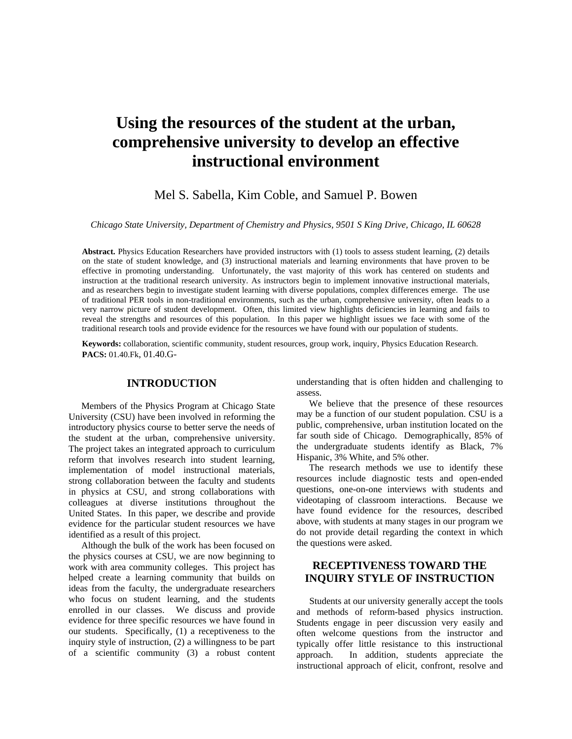# **Using the resources of the student at the urban, comprehensive university to develop an effective instructional environment**

Mel S. Sabella, Kim Coble, and Samuel P. Bowen

*Chicago State University, Department of Chemistry and Physics, 9501 S King Drive, Chicago, IL 60628* 

**Abstract.** Physics Education Researchers have provided instructors with (1) tools to assess student learning, (2) details on the state of student knowledge, and (3) instructional materials and learning environments that have proven to be effective in promoting understanding. Unfortunately, the vast majority of this work has centered on students and instruction at the traditional research university. As instructors begin to implement innovative instructional materials, and as researchers begin to investigate student learning with diverse populations, complex differences emerge. The use of traditional PER tools in non-traditional environments, such as the urban, comprehensive university, often leads to a very narrow picture of student development. Often, this limited view highlights deficiencies in learning and fails to reveal the strengths and resources of this population. In this paper we highlight issues we face with some of the traditional research tools and provide evidence for the resources we have found with our population of students.

**Keywords:** collaboration, scientific community, student resources, group work, inquiry, Physics Education Research. **PACS:** 01.40.Fk, 01.40.G-

#### **INTRODUCTION**

Members of the Physics Program at Chicago State University (CSU) have been involved in reforming the introductory physics course to better serve the needs of the student at the urban, comprehensive university. The project takes an integrated approach to curriculum reform that involves research into student learning, implementation of model instructional materials, strong collaboration between the faculty and students in physics at CSU, and strong collaborations with colleagues at diverse institutions throughout the United States. In this paper, we describe and provide evidence for the particular student resources we have identified as a result of this project.

Although the bulk of the work has been focused on the physics courses at CSU, we are now beginning to work with area community colleges. This project has helped create a learning community that builds on ideas from the faculty, the undergraduate researchers who focus on student learning, and the students enrolled in our classes. We discuss and provide evidence for three specific resources we have found in our students. Specifically, (1) a receptiveness to the inquiry style of instruction, (2) a willingness to be part of a scientific community (3) a robust content

understanding that is often hidden and challenging to assess.

We believe that the presence of these resources may be a function of our student population. CSU is a public, comprehensive, urban institution located on the far south side of Chicago. Demographically, 85% of the undergraduate students identify as Black, 7% Hispanic, 3% White, and 5% other.

The research methods we use to identify these resources include diagnostic tests and open-ended questions, one-on-one interviews with students and videotaping of classroom interactions. Because we have found evidence for the resources, described above, with students at many stages in our program we do not provide detail regarding the context in which the questions were asked.

## **RECEPTIVENESS TOWARD THE INQUIRY STYLE OF INSTRUCTION**

Students at our university generally accept the tools and methods of reform-based physics instruction. Students engage in peer discussion very easily and often welcome questions from the instructor and typically offer little resistance to this instructional approach. In addition, students appreciate the instructional approach of elicit, confront, resolve and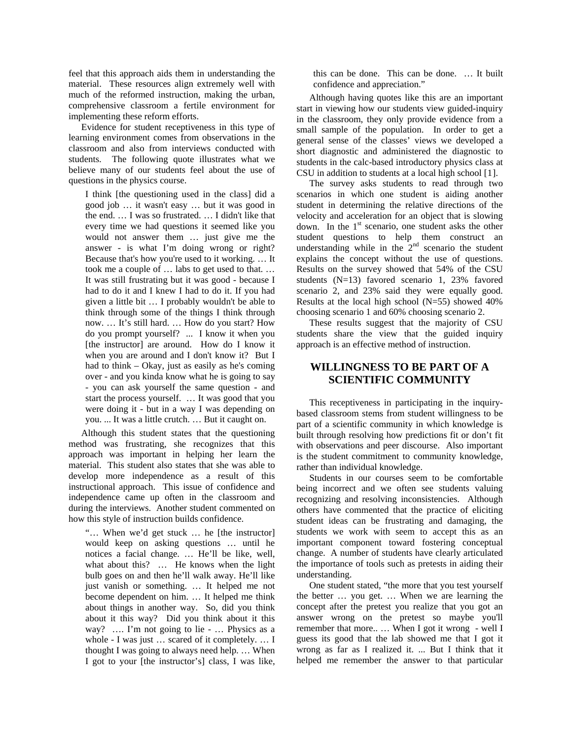feel that this approach aids them in understanding the material. These resources align extremely well with much of the reformed instruction, making the urban, comprehensive classroom a fertile environment for implementing these reform efforts.

Evidence for student receptiveness in this type of learning environment comes from observations in the classroom and also from interviews conducted with students. The following quote illustrates what we believe many of our students feel about the use of questions in the physics course.

I think [the questioning used in the class] did a good job … it wasn't easy … but it was good in the end. … I was so frustrated. … I didn't like that every time we had questions it seemed like you would not answer them … just give me the answer - is what I'm doing wrong or right? Because that's how you're used to it working. … It took me a couple of … labs to get used to that. … It was still frustrating but it was good - because I had to do it and I knew I had to do it. If you had given a little bit … I probably wouldn't be able to think through some of the things I think through now. … It's still hard. … How do you start? How do you prompt yourself? ... I know it when you [the instructor] are around. How do I know it when you are around and I don't know it? But I had to think – Okay, just as easily as he's coming over - and you kinda know what he is going to say - you can ask yourself the same question - and start the process yourself. … It was good that you were doing it - but in a way I was depending on you. ... It was a little crutch. … But it caught on.

Although this student states that the questioning method was frustrating, she recognizes that this approach was important in helping her learn the material. This student also states that she was able to develop more independence as a result of this instructional approach. This issue of confidence and independence came up often in the classroom and during the interviews. Another student commented on how this style of instruction builds confidence.

"… When we'd get stuck … he [the instructor] would keep on asking questions … until he notices a facial change. … He'll be like, well, what about this? ... He knows when the light bulb goes on and then he'll walk away. He'll like just vanish or something. … It helped me not become dependent on him. … It helped me think about things in another way. So, did you think about it this way? Did you think about it this way? …. I'm not going to lie - … Physics as a whole - I was just … scared of it completely. … I thought I was going to always need help. … When I got to your [the instructor's] class, I was like,

this can be done. This can be done. … It built confidence and appreciation."

Although having quotes like this are an important start in viewing how our students view guided-inquiry in the classroom, they only provide evidence from a small sample of the population. In order to get a general sense of the classes' views we developed a short diagnostic and administered the diagnostic to students in the calc-based introductory physics class at CSU in addition to students at a local high school [[1](#page-3-0)].

The survey asks students to read through two scenarios in which one student is aiding another student in determining the relative directions of the velocity and acceleration for an object that is slowing down. In the 1<sup>st</sup> scenario, one student asks the other student questions to help them construct an understanding while in the  $2<sup>nd</sup>$  scenario the student explains the concept without the use of questions. Results on the survey showed that 54% of the CSU students (N=13) favored scenario 1, 23% favored scenario 2, and 23% said they were equally good. Results at the local high school (N=55) showed 40% choosing scenario 1 and 60% choosing scenario 2.

These results suggest that the majority of CSU students share the view that the guided inquiry approach is an effective method of instruction.

## **WILLINGNESS TO BE PART OF A SCIENTIFIC COMMUNITY**

This receptiveness in participating in the inquirybased classroom stems from student willingness to be part of a scientific community in which knowledge is built through resolving how predictions fit or don't fit with observations and peer discourse. Also important is the student commitment to community knowledge, rather than individual knowledge.

Students in our courses seem to be comfortable being incorrect and we often see students valuing recognizing and resolving inconsistencies. Although others have commented that the practice of eliciting student ideas can be frustrating and damaging, the students we work with seem to accept this as an important component toward fostering conceptual change. A number of students have clearly articulated the importance of tools such as pretests in aiding their understanding.

One student stated, "the more that you test yourself the better … you get. … When we are learning the concept after the pretest you realize that you got an answer wrong on the pretest so maybe you'll remember that more.. … When I got it wrong - well I guess its good that the lab showed me that I got it wrong as far as I realized it. ... But I think that it helped me remember the answer to that particular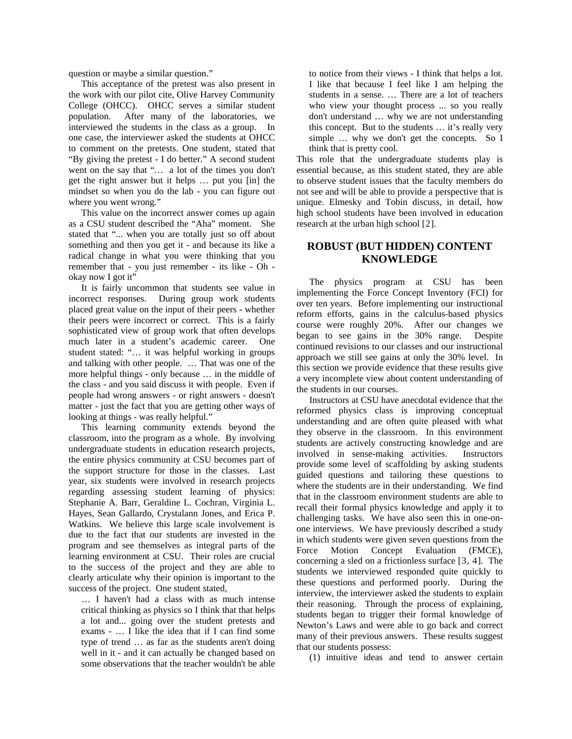question or maybe a similar question."

This acceptance of the pretest was also present in the work with our pilot cite, Olive Harvey Community College (OHCC). OHCC serves a similar student population. After many of the laboratories, we interviewed the students in the class as a group. In one case, the interviewer asked the students at OHCC to comment on the pretests. One student, stated that "By giving the pretest - I do better." A second student went on the say that "*…* a lot of the times you don't get the right answer but it helps … put you [in] the mindset so when you do the lab - you can figure out where you went wrong."

This value on the incorrect answer comes up again as a CSU student described the "Aha" moment. She stated that "... when you are totally just so off about something and then you get it - and because its like a radical change in what you were thinking that you remember that - you just remember - its like - Oh okay now I got it"

It is fairly uncommon that students see value in incorrect responses. During group work students placed great value on the input of their peers - whether their peers were incorrect or correct. This is a fairly sophisticated view of group work that often develops much later in a student's academic career. One student stated: "… it was helpful working in groups and talking with other people. … That was one of the more helpful things - only because … in the middle of the class - and you said discuss it with people. Even if people had wrong answers - or right answers - doesn't matter - just the fact that you are getting other ways of looking at things - was really helpful."

This learning community extends beyond the classroom, into the program as a whole. By involving undergraduate students in education research projects, the entire physics community at CSU becomes part of the support structure for those in the classes. Last year, six students were involved in research projects regarding assessing student learning of physics: Stephanie A. Barr, Geraldine L. Cochran, Virginia L. Hayes, Sean Gallardo, Crystalann Jones, and Erica P. Watkins. We believe this large scale involvement is due to the fact that our students are invested in the program and see themselves as integral parts of the learning environment at CSU. Their roles are crucial to the success of the project and they are able to clearly articulate why their opinion is important to the success of the project. One student stated,

… I haven't had a class with as much intense critical thinking as physics so I think that that helps a lot and... going over the student pretests and exams - … I like the idea that if I can find some type of trend … as far as the students aren't doing well in it - and it can actually be changed based on some observations that the teacher wouldn't be able to notice from their views - I think that helps a lot. I like that because I feel like I am helping the students in a sense. … There are a lot of teachers who view your thought process ... so you really don't understand … why we are not understanding this concept. But to the students … it's really very simple … why we don't get the concepts. So I think that is pretty cool.

This role that the undergraduate students play is essential because, as this student stated, they are able to observe student issues that the faculty members do not see and will be able to provide a perspective that is unique. Elmesky and Tobin discuss, in detail, how high school students have been involved in education research at the urban high school [[2](#page-3-1)].

## **ROBUST (BUT HIDDEN) CONTENT KNOWLEDGE**

The physics program at CSU has been implementing the Force Concept Inventory (FCI) for over ten years. Before implementing our instructional reform efforts, gains in the calculus-based physics course were roughly 20%. After our changes we began to see gains in the 30% range. Despite continued revisions to our classes and our instructional approach we still see gains at only the 30% level. In this section we provide evidence that these results give a very incomplete view about content understanding of the students in our courses.

Instructors at CSU have anecdotal evidence that the reformed physics class is improving conceptual understanding and are often quite pleased with what they observe in the classroom. In this environment students are actively constructing knowledge and are involved in sense-making activities. Instructors provide some level of scaffolding by asking students guided questions and tailoring these questions to where the students are in their understanding. We find that in the classroom environment students are able to recall their formal physics knowledge and apply it to challenging tasks. We have also seen this in one-onone interviews. We have previously described a study in which students were given seven questions from the Force Motion Concept Evaluation (FMCE), concerning a sled on a frictionless surface [[3](#page-3-1), [4](#page-3-1)]. The students we interviewed responded quite quickly to these questions and performed poorly. During the interview, the interviewer asked the students to explain their reasoning. Through the process of explaining, students began to trigger their formal knowledge of Newton's Laws and were able to go back and correct many of their previous answers. These results suggest that our students possess:

(1) intuitive ideas and tend to answer certain